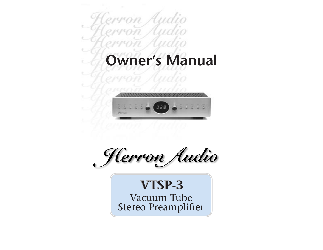



Herron Audio

# **VTSP-3**

Vacuum Tube Vacuum Tube Stereo Preamplifier Stereo Preamplifier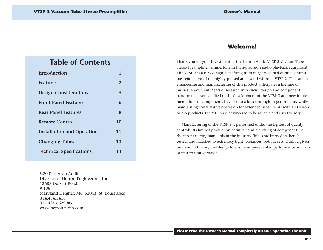## **Table of Contents**

| Introduction                      | 1  |
|-----------------------------------|----|
| <b>Features</b>                   | 2  |
| <b>Design Considerations</b>      | 5  |
| <b>Front Panel Features</b>       | 6  |
| <b>Rear Panel Features</b>        | 8  |
| Remote Control                    | 10 |
| <b>Installation and Operation</b> | 11 |
| <b>Changing Tubes</b>             | 13 |
| <b>Technical Specifications</b>   | 14 |
|                                   |    |

©2007 Herron AudioDivision of Herron Engineering, Inc. 12685 Dorsett Road# 138Maryland Heights, MO 63043 (St. Louis area) 314.434.5416314.434.6629 faxwww.herronaudio.com

## **Welcome! Welcome!**

Thank you for your investment in the Herron Audio VTSP-3 Vacuum Tube Stereo Preamplifier, a milestone in high-precision audio playback equipment. The VTSP-3 is a new design, benefiting from insights gained during continuous refinement of the highly-praised and award-winning VTSP-2. The care in engineering and manufacturing of this product anticipates a lifetime of musical enjoyment. Years of research into circuit design and component performance were applied to the development of the VTSP-3 and new implementations of components have led to a breakthrough in performance while maintaining conservative operation for extended tube life. As with all Herron Audio products, the VTSP-3 is engineered to be reliable and user friendly.

Manufacturing of the VTSP-3 is performed under the tightest of quality controls. Its limited production permits hand matching of components to the most exacting standards in the industry. Tubes are burned in, bench tested, and matched to extremely tight tolerances, both as sets within a given unit and to the original design to ensure unprecedented performance and lack of unit-to-unit variation.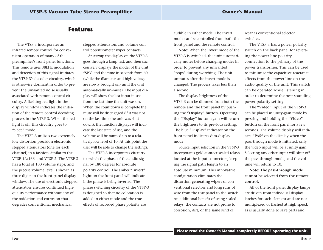## **Features Features**

The VTSP-3 incorporates an infrared remote control for convenient operation of many of the preamplifier's front-panel functions. This remote uses 38kHz modulationand detection of this signal initiates the VTSP-3's decoder circuitry, which is otherwise dormant in order to prevent the unwanted noise usually associated with remote control circuitry. A flashing red light in the display window indicates the initiation of the remote control decoding process in the VTSP-3. When the red light is off, this circuitry goes to "sleep" mode.

The VTSP-3 utilizes two extremely low distortion precision electronic stepped attenuators (one for each channel) in a fashion similar to the VTSP-1A/166, and VTSP-2. The VTSP-3 has a total of 100 volume steps, and the precise volume level is shown as three digits in the front-panel display window. The use of electronic stepped attenuators ensures continued highquality performance without any of the oxidation and corrosion thatdegrades conventional mechanical

stepped attenuators and volume control potentiometer wiper contacts.

At startup the display on the VTSP-3 goes through a lamp test, and then successively displays the model of the unit "SP3" and the time in seconds from 60(while the filaments and high voltage are slowly brought on) until the unit automatically un-mutes. The input display will show the last input in use from the last time the unit was on. When the countdown is complete the mute will be disengaged (if it was not on the last time the unit was shutdown), the function displays will indicate the last state of use, and the volume will be ramped up to a relatively low level of 10. At this point the user will be able to change the settings.

The VTSP-3 incorporates circuitry to switch the phase of the audio signal by 180 degrees for absolute polarity control. The amber **"Invert" light** on the front panel will indicate if the phase is being inverted. The phase switching circuitry of the VTSP-3 is designed so that no coloration is added in either mode and the trueeffects of recorded phase polarity are

audible in either mode. The invert mode can be controlled from both thefront panel and the remote control.

**Note:** When the invert mode of the VTSP-3 is switched, the unit automatically mutes before changing modes in order to prevent any unwanted "pops" during switching. The unit unmutes after the invert mode ischanged. The process takes less than a second.

The display brightness of the VTSP-3 can be dimmed from both theremote and the front panel by pushing the **"Display" button.** Operating the "Display" button again will return the brightness to its previous setting. The blue "Display" indicator on the front panel indicates dim-display mode.

Source input selection in the VTSP-3 incorporates gold-contact sealed relays located at the input connectors, keeping the signal path length to an absolute minimum. This innovative configuration eliminates the distortion-generating wipers of conventional selectors and long runs of wire from the rear panel to the switch. An additional benefit of using sealed relays, the contacts are not prone to corrosion, dirt, or the same kind of

wear as conventional selectorswitches.

The VTSP-3 has a power-polarity switch on the back panel for reversing the power line polarity connection to the primary of the power transformer. This can be used to minimize the capacitive reactance effects from the power line on the audio quality of the unit. This switch can be operated while listening in order to determine the best-sounding power polarity setting.

The **"Video"** input of the VTSP-3 can be placed in unity-gain mode by pressing and holding the **"Video" button** on the front panel for a few seconds. The volume display will indicate **"PAS"** on the display when the pass-through mode is initiated; only the video input will be at unity gain. Selecting any other input will shut off the pass-through mode, and the volume will return to 10.

**Note: The pass-through mode cannot be selected from the remotecontrol.**

All of the front panel display lamps are driven from individual display latches for each element and are notmultiplexed or flashed at high speed, as is usually done to save parts and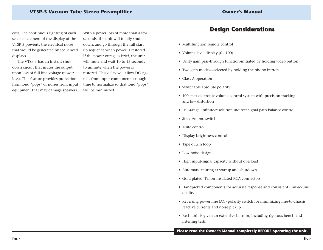## **VTSP-3 Vacuum Tube Stereo Preamplifier Owner's Manual**

cost. The continuous lighting of each selected element of the display of the VTSP-3 prevents the electrical noise that would be generated by sequenced displays.

The VTSP-3 has an instant shutdown circuit that mutes the output upon loss of full line voltage (power loss). This feature provides protection from loud "pops" or noises from input equipment that may damage speakers. With a power loss of more than a few seconds, the unit will totally shut down, and go through the full startup sequence when power is restored. If the power outage is brief, the unit will mute and wait 10 to 15 secondsto unmute when the power is restored. This delay will allow DC signals from input components enough time to normalize so that loud "pops" will be minimized.

## **Design Considerations Design Considerations**

- Multifunction remote control
- Volume level display (0 100)
- Unity gain pass-through function-initiated by holding video button
- Two gain modes—selected by holding the phono button
- Class A operation
- Switchable absolute polarity
- 100-step electronic volume control system with precision tracking and low distortion
- Full-range, infinite-resolution indirect signal path balance control
- Stereo/mono switch
- Mute control
- Display brightness control
- Tape out/in loop
- Low noise design
- High input-signal capacity without overload
- Automatic muting at startup and shutdown
- Gold plated, Teflon-insulated RCA connectors
- Handpicked components for accurate response and consistent unit-to-unit quality
- Reversing power line (AC) polarity switch for minimizing line-to-chassis reactive currents and noise pickup
- Each unit is given an extensive burn-in, including rigorous bench and listening tests

**Please read the Owner's Manual completely BEFORE operating the unit.**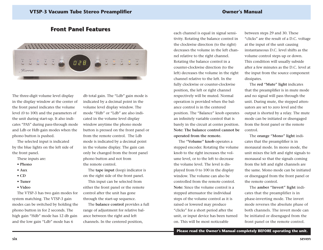## **Front Panel Features Front Panel Features**



The three-digit volume level display in the display window at the center of the front panel indicates the volume level (0 to 100) and the parameters of the unit during start-up. It also indicates "PAS" during pass-through mode and Ldb or Hdb gain modes when the phono button is pushed.

The selected input is indicated by the blue lights on the left side of the front panel.

These inputs are:

- **Phono**
- **Aux**
- **CD**
- **Tuner**
- **Video**

The VTSP-3 has two gain modes for system matching. The VTSP-3 gain modes can be switched by holding the phono button in for 2 seconds. The high gain "Hdb" mode has 12 db gain and the low gain "Ldb" mode has 6

db total gain. The "Ldb" gain mode is indicated by a decimal point in the volume level display window. The mode "Hdb" or "Ldb" are also indicated in the volume level display window anytime the phono mode button is pressed on the front panel or from the remote control. The Ldbmode is indicated by a decimal point in the volume display. The gain can only be changed from the front panel phono button and not from the remote control.

The **tape input** (loop) indicator is on the right side of the front panel. This input can be selected from either the front panel or the remote control after the unit has gone through the start-up sequence.

The **balance control** provides a full range of adjustment for relative balance between the right and left channels. In the centered position,

each channel is equal in signal sensitivity. Rotating the balance control in the clockwise direction (to the right) decreases the volume in the left channel relative to the right channel. Rotating the balance control in a counter-clockwise direction (to the left) decreases the volume in the right channel relative to the left. In thefully clockwise or counter-clockwise position, the left or right channel respectively will be muted. Normal operation is provided when the balance control is in the centeredposition. The "Balance" knob operates an infinitely variable control that is barely in the circuit at center position. **Note: The balance control cannot beoperated from the remote.**

The **"Volume" knob** operates a stepped encoder. Rotating the volume knob to the right increases the volume level, or to the left to decrease the volume level. The level is displayed from 0 to 100 in the display window. The volume can also be controlled from the remote control. **Note:** Since the volume control is astepped attenuator the individual steps of the volume control as it is raised or lowered may produce "clicks" for a short period after the unit, or input device has been turned on. This will be most noticeable

between steps 29 and 30. These "clicks" are the result of a D.C. voltage at the input of the unit causing instantaneous D.C. level shifts as the volume control steps up or down. This condition will usually subside after a few minutes as the D.C. level atthe input from the source component dissipates.

The **red "Mute" light** indicates that the preamplifier is in mute mode and no signal will pass through the unit. During mute, the stepped attenuators are set to zero level and theoutput is shorted by a relay. The mute mode can be initiated or disengaged from the front panel or the remote control.

The **orange "Mono" light** indicates that the preamplifier is in monaural mode. In mono mode, the unit mixes the left and right signals to monaural so that the signals coming from the left and right channels are the same. Mono mode can be initiated or disengaged from the front panel or the remote control.

The **amber "Invert" light** indicates that the preamplifier is in phase-inverting mode. The invert mode reverses the absolute phase of both channels. The invert mode canbe initiated or disengaged from the front panel or the remote control.

**Please read the Owner's Manual completely BEFORE operating the unit.**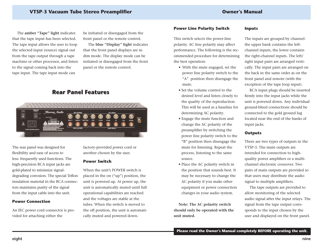### **VTSP-3 Vacuum Tube Stereo Preamplifier Owner's Manual**

The **amber "Tape" light** indicates that the tape input has been selected. The tape input allows the user to loop the selected input (source) signal out from the tape output through a tape machine or other processor, and listen to the signal coming back into the tape input. The tape input mode can

be initiated or disengaged from the front panel or the remote control.

The **blue "Display" light** indicates that the front panel displays are in dim mode. The display mode can be initiated or disengaged from the front panel or the remote control.

## **Rear Panel Features Rear Panel Features**



The rear panel was designed for flexibility and ease of access to less- frequently used functions. The high-precision RCA input jacks are gold-plated to minimize signaldegrading corrosion. The special Teflon insulation material in the RCA connectors maintains purity of the signal from the input cable into the unit.

#### **Power Connection**

An IEC power cord connector is provided for attaching either the

factory-provided power cord or another chosen by the user.

#### **Power Switch**

When the unit's POWER switch isplaced in the on ("up") position, the unit is powered up. At power up, the unit is automatically muted until full operational capabilities are reached and the voltages are stable at the tubes. When the switch is moved tothe off position, the unit is automatically muted and powered down.

#### **Power Line Polarity Switch**

This switch selects the power-line polarity. AC line polarity may affect performance. The following is the recommended procedure for determining the best operation:

- With the mute engaged, set the power line polarity switch to the "A" position then disengage the mute.
- Set the volume control to thedesired level and listen closely to the quality of the reproduction. This will be used as a baseline fordetermining AC polarity.
- Engage the mute function and change the AC polarity of the preamplifier by switching the power line polarity switch to the "B" position then disengage the mute for listening. Repeat the process, listening to the same source.
- Place the AC polarity switch in the position that sounds best. It may be necessary to change the AC polarity if you make other equipment or power connection changes in your audio system.

**Note: The AC polarity switch should only be operated with the unit muted.**

#### **Inputs**

The inputs are grouped by channel: the upper bank contains the leftchannel inputs, the lower contains the right-channel inputs. The left/ right input pairs are arranged vertically. The input pairs are arranged on the back in the same order as on thefront panel and remote (with the exception of the tape loop input).

RCA input plugs should be inserted firmly into the input jacks while the unit is powered down. Any individual ground-bleed connections should be connected to the gold ground lug located near the end of the banks ofinput jacks.

#### **Outputs**

There are two types of outputs in the VTSP-3. The main outputs are intended for connection to highquality power amplifiers or a multichannel electronic crossover. Twopairs of main outputs are provided so that users may distribute the audio signal to multiple amplifiers.

The tape outputs are provided to allow monitoring of the selected audio signal after the input relays. The signal from the tape output corresponds to the input chosen by the user and displayed on the front panel.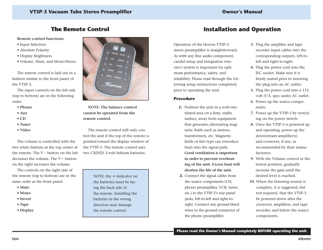## **The Remote Control The remote Control**

#### **Remote control functions:**

- Input Selection
- Absolute Polarity
- Display Brightness
- Volume, Mute, and Mono/Stereo

The remote control is laid out in afashion similar to the front panel of the VTSP-3.

The input controls on the left side (top to bottom) are in the following order:

- **Phono**
- **Aux**
- **CD**
- **Tuner**
- **Video**

The volume is controlled with thetwo white buttons at the top center of the remote. The V- button on the left decreases the volume. The V+ button on the right increases the volume.

The controls on the right side of the remote (top to bottom) are in the same order as the front panel:

- **Mute**
- **Mono**
- **Invert**
- **Tape**
- **Display**



**NOTE: The balance control cannot be operated from the remote control.** 

The remote control will only control the unit if the top of the remote is pointed toward the display window of the VTSP-3. The remote control uses two CR2025 3-volt lithium batteries.

> NOTE: the **-** indicator on the batteries must be facing the back side of the remote. Installing the batteries in the wrong direction may damage the remote control.

## **Installation and Operation Installation and Operation**

Operation of the Herron VTSP-3 stereo preamplifier is straightforward. As with any fine audio component, careful setup and integration into one's system is important for optimum performance, safety, and reliability. Please read through the following setup instructions completely prior to operating the unit.

#### **Procedure**

- **1.** Position the unit in a well-ventilated area on a firm, stable surface, away from equipment that generates alternating magnetic fields such as motors, transformers, etc. Magnetic fields of this type can introduce hum into the signal path. **Good ventilation is important in order to prevent overheating of the unit. Excess heat will shorten the life of the unit.**
- **2.** Connect the signal cables from the source components (CD, phono preamplifier, VCR, tuner, etc.) to the VTSP-3's rear panel jacks, left-to-left and right-toright. Connect any ground bleed wires to the ground connector of the phono preamplifier.
- **3.** Plug the amplifier and tape recorder input cables into the corresponding outputs, left-toleft and right-to-right.
- **4.** Plug the power cord into the IEC socket. Make sure it isfirmly seated prior to inserting the plug into an AC outlet.
- **5.** Plug the power cord into a 115 volt (U.S. spec units) AC outlet.
- **6.** Power up the source components.
- **7.** Power up the VTSP-3 by switching on the power switch.
- **8.** Once the VTSP-3 is powered up and operating, power up the downstream amplifier(s) and crossover, if any, as recommended by their manufacturers.
- **9.** With the Volume control in thelowest position, gradually increase the gain until the desired level is reached.
- **10.** When the listening session is complete, it is suggested, but not required, that the VTSP-3 be powered down after the crossover, amplifiers, and tape recorder, and before the source components.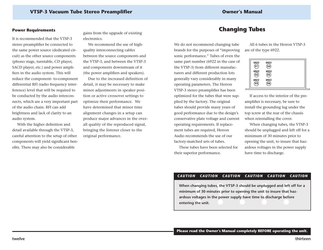#### **VTSP-3 Vacuum Tube Stereo Preamplifier Owner's Manual**

#### **Power Requirements**

It is recommended that the VTSP-3stereo preamplifier be connected to the same power source (dedicated circuit) as the other source components (phono stage, turntable, CD player, SACD player, etc.) and power amplifiers in the audio system. This will reduce the component- to-component differential RFI (radio frequency interference) level that will be required to be conducted by the audio interconnects, which are a very important part of the audio chain. RFI can addbrightness and lack of clarity to an audio system.

With the higher definition and detail available through the VTSP-3, careful attention to the setup of other components will yield significant benefits. There may also be considerable

gains from the upgrade of existing electronics.

We recommend the use of highquality interconnecting cables between the source components and the VTSP-3, and between the VTSP-3 and components downstream of it (the power amplifiers and speakers).

Due to the increased definition ofdetail, it may be necessary to make minor adjustments in speaker position or active crossover settings to optimize their performance. We have determined that minor timealignment changes in a setup can produce major advances in the overall quality of the reproduced signal, bringing the listener closer to the original performance.

## **Changing Tubes Changing Tubes**

We do not recommend changing tube brands for the purposes of "improving sonic performance." Tubes of even the same part number (6922 in the case of the VTSP-3) from different manufacturers and different production lots generally vary considerably in many operating parameters. The Herron VTSP-3 stereo preamplifier has been optimized for the tubes that were supplied by the factory. The original tubes should provide many years of good performance due to the design's conservative plate voltage and current operating requirements. If replacement tubes are required, Herron Audio recommends the use of our factory-matched sets of tubes.

These tubes have been selected fortheir superior performance.

All 6 tubes in the Herron VTSP-3are of the type 6922.

| 6922<br>6922<br>$\widetilde{\mathsf{v}_2}$<br>6922 | 6922<br>6922<br>$\widehat{\mathsf{v}\mathsf{s}}$<br>6922 |  |
|----------------------------------------------------|----------------------------------------------------------|--|
| V3                                                 | V6                                                       |  |

If access to the interior of the preamplifier is necessary, be sure to install the grounding lug under the top screw at the rear of the chassis when reinstalling the cover.

When changing tubes, the VTSP-3 should be unplugged and left off for a minimum of 30 minutes prior to opening the unit, to insure that hazardous voltages in the power supply have time to discharge.

#### *CAUTION CAUTION CAUTION CAUTION CAUTION CAUTION*

When changing tubes, the VTSP-3 should be unplugged and left off for a minimum of 30 minutes prior to opening the unit to insure that hazardous voltages in the power supply have time to discharge before entering the unit.